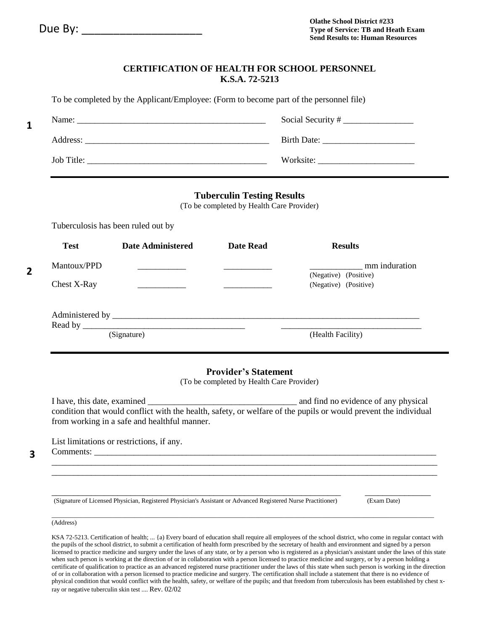**1** 

**2** 

### **CERTIFICATION OF HEALTH FOR SCHOOL PERSONNEL K.S.A. 72-5213**

| To be completed by the Applicant/Employee: (Form to become part of the personnel file) |           |  |
|----------------------------------------------------------------------------------------|-----------|--|
|                                                                                        |           |  |
|                                                                                        |           |  |
| Job Title:                                                                             | Worksite: |  |

## **Tuberculin Testing Results**

(To be completed by Health Care Provider)

Tuberculosis has been ruled out by

| <b>Test</b>                                         | Date Administered | <b>Date Read</b> | <b>Results</b>                                                  |
|-----------------------------------------------------|-------------------|------------------|-----------------------------------------------------------------|
| Mantoux/PPD<br>Chest X-Ray                          |                   |                  | mm induration<br>(Negative) (Positive)<br>(Negative) (Positive) |
| Administered by<br>Read by $\overline{\phantom{0}}$ | (Signature)       |                  | (Health Facility)                                               |

## **Provider's Statement**

(To be completed by Health Care Provider)

I have, this date, examined **Example 2** and find no evidence of any physical condition that would conflict with the health, safety, or welfare of the pupils or would prevent the individual from working in a safe and healthful manner.

\_\_\_\_\_\_\_\_\_\_\_\_\_\_\_\_\_\_\_\_\_\_\_\_\_\_\_\_\_\_\_\_\_\_\_\_\_\_\_\_\_\_\_\_\_\_\_\_\_\_\_\_\_\_\_\_\_\_\_\_\_\_\_\_\_\_\_\_\_\_\_\_\_\_\_\_\_\_\_\_\_\_\_\_\_\_\_\_ \_\_\_\_\_\_\_\_\_\_\_\_\_\_\_\_\_\_\_\_\_\_\_\_\_\_\_\_\_\_\_\_\_\_\_\_\_\_\_\_\_\_\_\_\_\_\_\_\_\_\_\_\_\_\_\_\_\_\_\_\_\_\_\_\_\_\_\_\_\_\_\_\_\_\_\_\_\_\_\_\_\_\_\_\_\_\_\_

List limitations or restrictions, if any. Comments: \_\_\_\_\_\_\_\_\_\_\_\_\_\_\_\_\_\_\_\_\_\_\_\_\_\_\_\_\_\_\_\_\_\_\_\_\_\_\_\_\_\_\_\_\_\_\_\_\_\_\_\_\_\_\_\_\_\_\_\_\_\_\_\_\_\_\_\_\_\_\_\_\_\_\_\_\_\_

**3** 

(Signature of Licensed Physician, Registered Physician's Assistant or Advanced Registered Nurse Practitioner) (Exam Date)

\_\_\_\_\_\_\_\_\_\_\_\_\_\_\_\_\_\_\_\_\_\_\_\_\_\_\_\_\_\_\_\_\_\_\_\_\_\_\_\_\_\_\_\_\_\_\_\_\_\_\_\_\_\_\_\_\_\_\_\_\_\_\_\_\_\_ \_\_\_\_\_\_\_\_\_\_\_\_\_\_\_

#### \_\_\_\_\_\_\_\_\_\_\_\_\_\_\_\_\_\_\_\_\_\_\_\_\_\_\_\_\_\_\_\_\_\_\_\_\_\_\_\_\_\_\_\_\_\_\_\_\_\_\_\_\_\_\_\_\_\_\_\_\_\_\_\_\_\_\_\_\_\_\_\_\_\_\_\_\_\_\_\_\_\_\_\_\_\_\_\_\_\_\_\_\_\_\_\_\_\_\_\_\_\_\_\_\_\_\_\_\_\_\_\_\_\_\_\_\_\_\_\_ (Address)

 KSA 72-5213. Certification of health; ... {a) Every board of education shall require all employees of the school district, who come in regular contact with the pupils of the school district, to submit a certification of health form prescribed by the secretary of health and environment and signed by a person licensed to practice medicine and surgery under the laws of any state, or by a person who is registered as a physician's assistant under the laws of this state when such person is working at the direction of or in collaboration with a person licensed to practice medicine and surgery, or by a person holding a certificate of qualification to practice as an advanced registered nurse practitioner under the laws of this state when such person is working in the direction of or in collaboration with a person licensed to practice medicine and surgery. The certification shall include a statement that there is no evidence of physical condition that would conflict with the health, safety, or welfare of the pupils; and that freedom from tuberculosis has been established by chest x-ray or negative tuberculin skin test .... Rev. 02/02